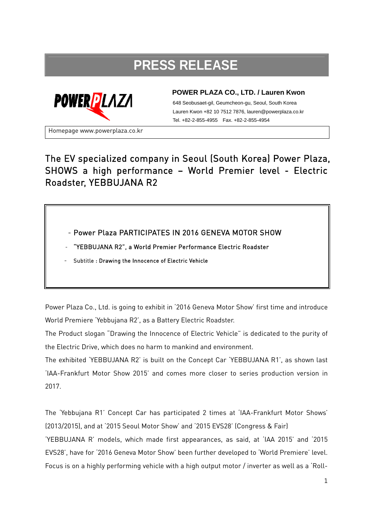## **PRESS RELEASE**



## **POWER PLAZA CO., LTD. / Lauren Kwon**

648 Seobusaet-gil, Geumcheon-gu, Seoul, South Korea Lauren Kwon +82 10 7512 7876, lauren@powerplaza.co.kr Tel. +82-2-855-4955 Fax. +82-2-855-4954

Homepage www.powerplaza.co.kr

## The EV specialized company in Seoul (South Korea) Power Plaza, SHOWS a high performance – World Premier level - Electric Roadster, YEBBUJANA R2

- Power Plaza PARTICIPATES IN 2016 GENEVA MOTOR SHOW

- "YEBBUJANA R2", a World Premier Performance Electric Roadster

Subtitle : Drawing the Innocence of Electric Vehicle

Power Plaza Co., Ltd. is going to exhibit in '2016 Geneva Motor Show' first time and introduce World Premiere 'Yebbujana R2', as a Battery Electric Roadster.

The Product slogan "Drawing the Innocence of Electric Vehicle" is dedicated to the purity of the Electric Drive, which does no harm to mankind and environment.

The exhibited 'YEBBUJANA R2' is built on the Concept Car 'YEBBUJANA R1', as shown last 'IAA-Frankfurt Motor Show 2015' and comes more closer to series production version in 2017.

The 'Yebbujana R1' Concept Car has participated 2 times at 'IAA-Frankfurt Motor Shows' (2013/2015), and at '2015 Seoul Motor Show' and '2015 EVS28' (Congress & Fair)

'YEBBUJANA R' models, which made first appearances, as said, at 'IAA 2015' and '2015 EVS28', have for '2016 Geneva Motor Show' been further developed to 'World Premiere' level. Focus is on a highly performing vehicle with a high output motor / inverter as well as a 'Roll